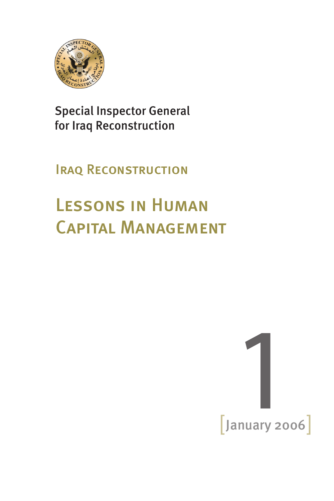

Special Inspector General for Iraq Reconstruction

## Iraq Reconstruction

# Lessons in Human Capital Management

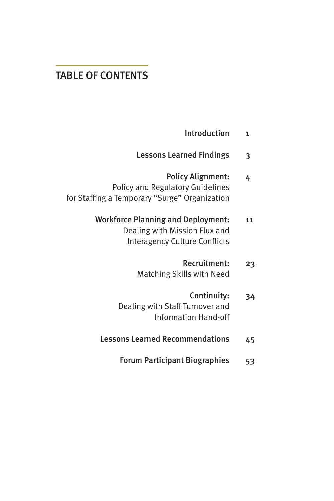## TABLE OF CONTENTS

| 1  | Introduction                                                                                                         |
|----|----------------------------------------------------------------------------------------------------------------------|
| 3  | <b>Lessons Learned Findings</b>                                                                                      |
| 4  | <b>Policy Alignment:</b><br><b>Policy and Regulatory Guidelines</b><br>for Staffing a Temporary "Surge" Organization |
| 11 | <b>Workforce Planning and Deployment:</b><br>Dealing with Mission Flux and<br><b>Interagency Culture Conflicts</b>   |
| 23 | <b>Recruitment:</b><br><b>Matching Skills with Need</b>                                                              |
| 34 | Continuity:<br>Dealing with Staff Turnover and<br><b>Information Hand-off</b>                                        |
| 45 | <b>Lessons Learned Recommendations</b>                                                                               |
| 53 | <b>Forum Participant Biographies</b>                                                                                 |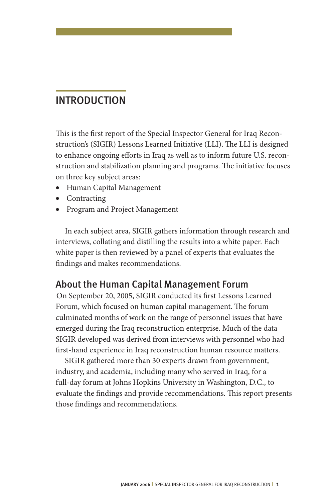### INTRODUCTION

This is the first report of the Special Inspector General for Iraq Reconstruction's (SIGIR) Lessons Learned Initiative (LLI). The LLI is designed to enhance ongoing efforts in Iraq as well as to inform future U.S. reconstruction and stabilization planning and programs. The initiative focuses on three key subject areas:

- Human Capital Management
- Contracting
- Program and Project Management

In each subject area, SIGIR gathers information through research and interviews, collating and distilling the results into a white paper. Each white paper is then reviewed by a panel of experts that evaluates the findings and makes recommendations.

### About the Human Capital Management Forum

On September 20, 2005, SIGIR conducted its first Lessons Learned Forum, which focused on human capital management. The forum culminated months of work on the range of personnel issues that have emerged during the Iraq reconstruction enterprise. Much of the data SIGIR developed was derived from interviews with personnel who had first-hand experience in Iraq reconstruction human resource matters.

SIGIR gathered more than 30 experts drawn from government, industry, and academia, including many who served in Iraq, for a full-day forum at Johns Hopkins University in Washington, D.C., to evaluate the findings and provide recommendations. This report presents those findings and recommendations.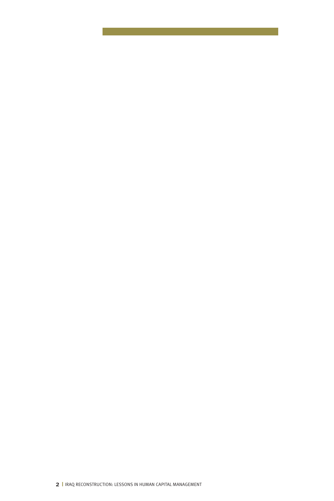2 | IRAQ RECONSTRUCTION: LESSONS IN HUMAN CAPITAL MANAGEMENT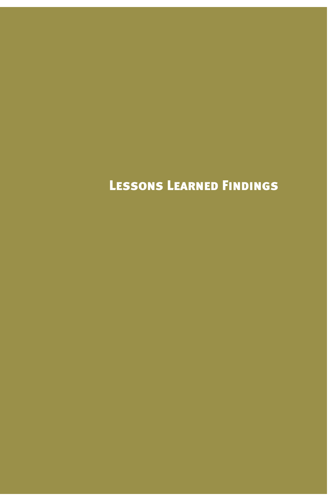## LESSONS LEARNED FINDINGS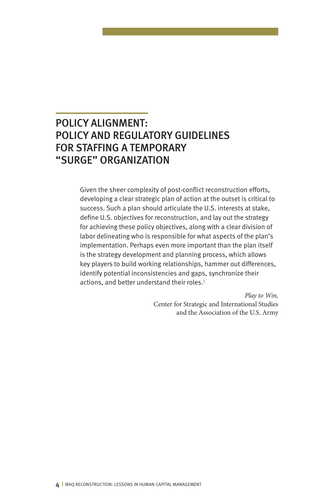### POLICY ALIGNMENT: POLICY AND REGULATORY GUIDELINES FOR STAFFING A TEMPORARY "SURGE" ORGANIZATION

Given the sheer complexity of post-conflict reconstruction efforts, developing a clear strategic plan of action at the outset is critical to success. Such a plan should articulate the U.S. interests at stake, define U.S. objectives for reconstruction, and lay out the strategy for achieving these policy objectives, along with a clear division of labor delineating who is responsible for what aspects of the plan's implementation. Perhaps even more important than the plan itself is the strategy development and planning process, which allows key players to build working relationships, hammer out differences, identify potential inconsistencies and gaps, synchronize their actions, and better understand their roles.<sup>1</sup>

> *Play to Win,* Center for Strategic and International Studies and the Association of the U.S. Army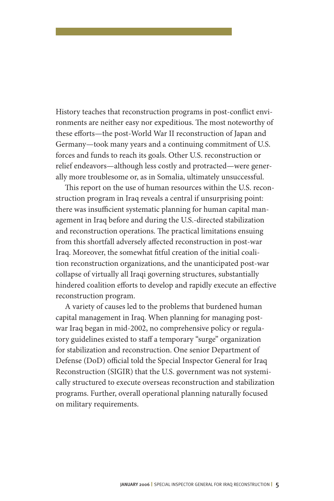History teaches that reconstruction programs in post-conflict environments are neither easy nor expeditious. The most noteworthy of these efforts—the post-World War II reconstruction of Japan and Germany—took many years and a continuing commitment of U.S. forces and funds to reach its goals. Other U.S. reconstruction or relief endeavors—although less costly and protracted—were generally more troublesome or, as in Somalia, ultimately unsuccessful.

This report on the use of human resources within the U.S. reconstruction program in Iraq reveals a central if unsurprising point: there was insufficient systematic planning for human capital management in Iraq before and during the U.S.-directed stabilization and reconstruction operations. The practical limitations ensuing from this shortfall adversely affected reconstruction in post-war Iraq. Moreover, the somewhat fitful creation of the initial coalition reconstruction organizations, and the unanticipated post-war collapse of virtually all Iraqi governing structures, substantially hindered coalition efforts to develop and rapidly execute an effective reconstruction program.

A variety of causes led to the problems that burdened human capital management in Iraq. When planning for managing postwar Iraq began in mid-2002, no comprehensive policy or regulatory guidelines existed to staff a temporary "surge" organization for stabilization and reconstruction. One senior Department of Defense (DoD) official told the Special Inspector General for Iraq Reconstruction (SIGIR) that the U.S. government was not systemically structured to execute overseas reconstruction and stabilization programs. Further, overall operational planning naturally focused on military requirements.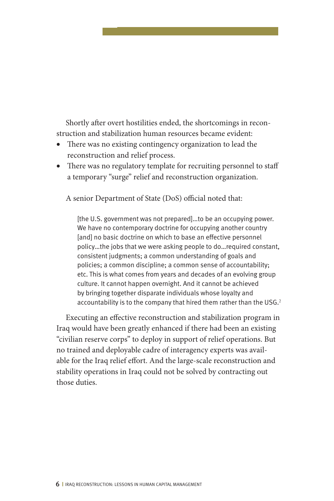Shortly after overt hostilities ended, the shortcomings in reconstruction and stabilization human resources became evident:

- There was no existing contingency organization to lead the reconstruction and relief process.
- There was no regulatory template for recruiting personnel to staff a temporary "surge" relief and reconstruction organization.

A senior Department of State (DoS) official noted that:

[the U.S. government was not prepared]…to be an occupying power. We have no contemporary doctrine for occupying another country [and] no basic doctrine on which to base an effective personnel policy…the jobs that we were asking people to do…required constant, consistent judgments; a common understanding of goals and policies; a common discipline; a common sense of accountability; etc. This is what comes from years and decades of an evolving group culture. It cannot happen overnight. And it cannot be achieved by bringing together disparate individuals whose loyalty and accountability is to the company that hired them rather than the USG.<sup>2</sup>

Executing an effective reconstruction and stabilization program in Iraq would have been greatly enhanced if there had been an existing "civilian reserve corps" to deploy in support of relief operations. But no trained and deployable cadre of interagency experts was available for the Iraq relief effort. And the large-scale reconstruction and stability operations in Iraq could not be solved by contracting out those duties.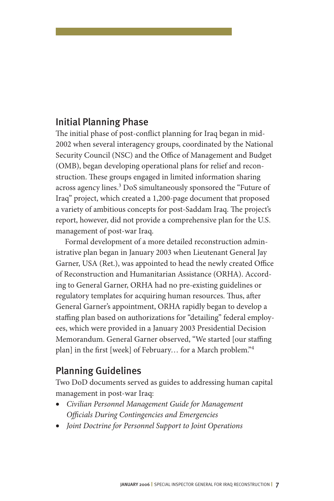### Initial Planning Phase

The initial phase of post-conflict planning for Iraq began in mid-2002 when several interagency groups, coordinated by the National Security Council (NSC) and the Office of Management and Budget (OMB), began developing operational plans for relief and reconstruction. These groups engaged in limited information sharing across agency lines.<sup>3</sup> DoS simultaneously sponsored the "Future of Iraq" project, which created a 1,200-page document that proposed a variety of ambitious concepts for post-Saddam Iraq. The project's report, however, did not provide a comprehensive plan for the U.S. management of post-war Iraq.

Formal development of a more detailed reconstruction administrative plan began in January 2003 when Lieutenant General Jay Garner, USA (Ret.), was appointed to head the newly created Office of Reconstruction and Humanitarian Assistance (ORHA). According to General Garner, ORHA had no pre-existing guidelines or regulatory templates for acquiring human resources. Thus, after General Garner's appointment, ORHA rapidly began to develop a staffing plan based on authorizations for "detailing" federal employees, which were provided in a January 2003 Presidential Decision Memorandum. General Garner observed, "We started [our staffing plan] in the first [week] of February… for a March problem."4

### Planning Guidelines

Two DoD documents served as guides to addressing human capital management in post-war Iraq:

- *Civilian Personnel Management Guide for Management Officials During Contingencies and Emergencies*
- *Joint Doctrine for Personnel Support to Joint Operations*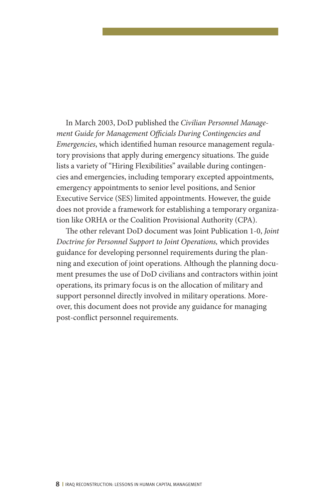In March 2003, DoD published the *Civilian Personnel Management Guide for Management Officials During Contingencies and Emergencies*, which identified human resource management regulatory provisions that apply during emergency situations. The guide lists a variety of "Hiring Flexibilities" available during contingencies and emergencies, including temporary excepted appointments, emergency appointments to senior level positions, and Senior Executive Service (SES) limited appointments. However, the guide does not provide a framework for establishing a temporary organization like ORHA or the Coalition Provisional Authority (CPA).

The other relevant DoD document was Joint Publication 1-0, *Joint Doctrine for Personnel Support to Joint Operations,* which provides guidance for developing personnel requirements during the planning and execution of joint operations. Although the planning document presumes the use of DoD civilians and contractors within joint operations, its primary focus is on the allocation of military and support personnel directly involved in military operations. Moreover, this document does not provide any guidance for managing post-conflict personnel requirements.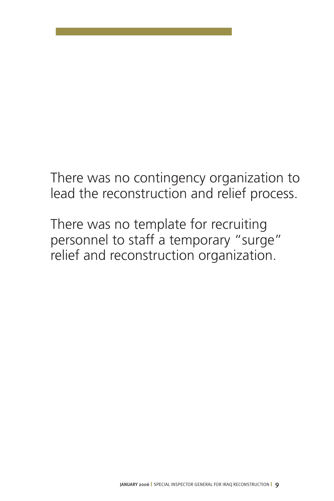## There was no contingency organization to lead the reconstruction and relief process.

There was no template for recruiting personnel to staff a temporary "surge" relief and reconstruction organization.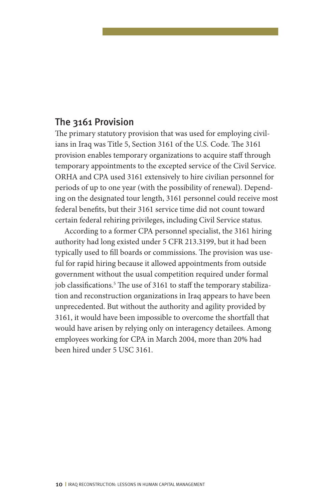### The 3161 Provision

The primary statutory provision that was used for employing civilians in Iraq was Title 5, Section 3161 of the U.S. Code. The 3161 provision enables temporary organizations to acquire staff through temporary appointments to the excepted service of the Civil Service. ORHA and CPA used 3161 extensively to hire civilian personnel for periods of up to one year (with the possibility of renewal). Depending on the designated tour length, 3161 personnel could receive most federal benefits, but their 3161 service time did not count toward certain federal rehiring privileges, including Civil Service status.

According to a former CPA personnel specialist, the 3161 hiring authority had long existed under 5 CFR 213.3199, but it had been typically used to fill boards or commissions. The provision was useful for rapid hiring because it allowed appointments from outside government without the usual competition required under formal job classifications.<sup>5</sup> The use of 3161 to staff the temporary stabilization and reconstruction organizations in Iraq appears to have been unprecedented. But without the authority and agility provided by 3161, it would have been impossible to overcome the shortfall that would have arisen by relying only on interagency detailees. Among employees working for CPA in March 2004, more than 20% had been hired under 5 USC 3161.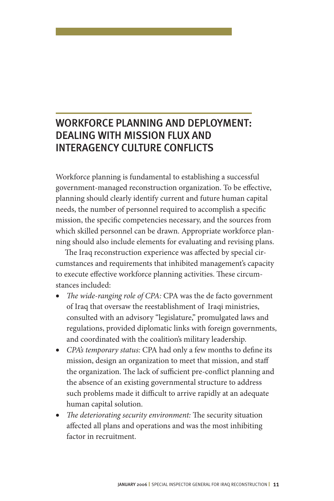### WORKFORCE PLANNING AND DEPLOYMENT: DEALING WITH MISSION FLUX AND INTERAGENCY CULTURE CONFLICTS

Workforce planning is fundamental to establishing a successful government-managed reconstruction organization. To be effective, planning should clearly identify current and future human capital needs, the number of personnel required to accomplish a specific mission, the specific competencies necessary, and the sources from which skilled personnel can be drawn. Appropriate workforce planning should also include elements for evaluating and revising plans.

The Iraq reconstruction experience was affected by special circumstances and requirements that inhibited management's capacity to execute effective workforce planning activities. These circumstances included:

- *The wide-ranging role of CPA:* CPA was the de facto government of Iraq that oversaw the reestablishment of Iraqi ministries, consulted with an advisory "legislature," promulgated laws and regulations, provided diplomatic links with foreign governments, and coordinated with the coalition's military leadership.
- *CPA's temporary status:* CPA had only a few months to define its mission, design an organization to meet that mission, and staff the organization. The lack of sufficient pre-conflict planning and the absence of an existing governmental structure to address such problems made it difficult to arrive rapidly at an adequate human capital solution.
- *The deteriorating security environment:* The security situation affected all plans and operations and was the most inhibiting factor in recruitment.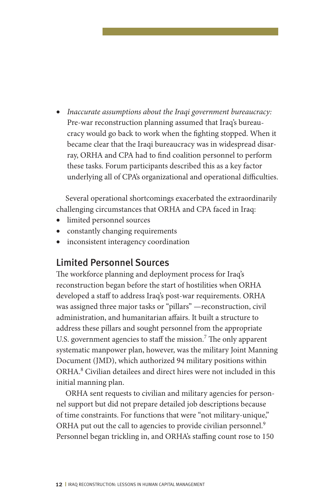• *Inaccurate assumptions about the Iraqi government bureaucracy:* Pre-war reconstruction planning assumed that Iraq's bureaucracy would go back to work when the fighting stopped. When it became clear that the Iraqi bureaucracy was in widespread disarray, ORHA and CPA had to find coalition personnel to perform these tasks. Forum participants described this as a key factor underlying all of CPA's organizational and operational difficulties.

Several operational shortcomings exacerbated the extraordinarily challenging circumstances that ORHA and CPA faced in Iraq:

- limited personnel sources
- constantly changing requirements
- inconsistent interagency coordination

### Limited Personnel Sources

The workforce planning and deployment process for Iraq's reconstruction began before the start of hostilities when ORHA developed a staff to address Iraq's post-war requirements. ORHA was assigned three major tasks or "pillars" —reconstruction, civil administration, and humanitarian affairs. It built a structure to address these pillars and sought personnel from the appropriate U.S. government agencies to staff the mission.<sup>7</sup> The only apparent systematic manpower plan, however, was the military Joint Manning Document (JMD), which authorized 94 military positions within ORHA.<sup>8</sup> Civilian detailees and direct hires were not included in this initial manning plan.

ORHA sent requests to civilian and military agencies for personnel support but did not prepare detailed job descriptions because of time constraints. For functions that were "not military-unique," ORHA put out the call to agencies to provide civilian personnel.<sup>9</sup> Personnel began trickling in, and ORHA's staffing count rose to 150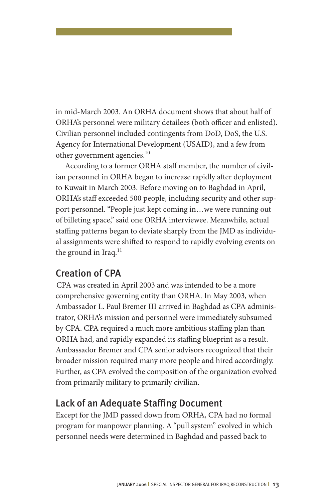in mid-March 2003. An ORHA document shows that about half of ORHA's personnel were military detailees (both officer and enlisted). Civilian personnel included contingents from DoD, DoS, the U.S. Agency for International Development (USAID), and a few from other government agencies.<sup>10</sup>

According to a former ORHA staff member, the number of civilian personnel in ORHA began to increase rapidly after deployment to Kuwait in March 2003. Before moving on to Baghdad in April, ORHA's staff exceeded 500 people, including security and other support personnel. "People just kept coming in…we were running out of billeting space," said one ORHA interviewee. Meanwhile, actual staffing patterns began to deviate sharply from the JMD as individual assignments were shifted to respond to rapidly evolving events on the ground in Iraq. $<sup>11</sup>$ </sup>

### Creation of CPA

CPA was created in April 2003 and was intended to be a more comprehensive governing entity than ORHA. In May 2003, when Ambassador L. Paul Bremer III arrived in Baghdad as CPA administrator, ORHA's mission and personnel were immediately subsumed by CPA. CPA required a much more ambitious staffing plan than ORHA had, and rapidly expanded its staffing blueprint as a result. Ambassador Bremer and CPA senior advisors recognized that their broader mission required many more people and hired accordingly. Further, as CPA evolved the composition of the organization evolved from primarily military to primarily civilian.

### Lack of an Adequate Staffing Document

Except for the JMD passed down from ORHA, CPA had no formal program for manpower planning. A "pull system" evolved in which personnel needs were determined in Baghdad and passed back to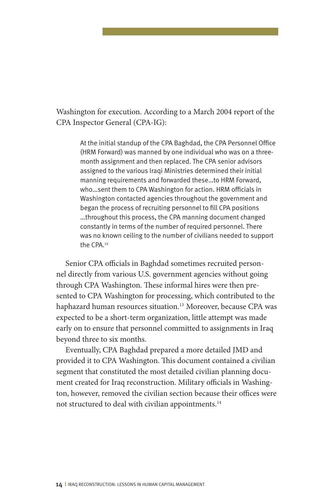Washington for execution. According to a March 2004 report of the CPA Inspector General (CPA-IG):

> At the initial standup of the CPA Baghdad, the CPA Personnel Office (HRM Forward) was manned by one individual who was on a threemonth assignment and then replaced. The CPA senior advisors assigned to the various Iraqi Ministries determined their initial manning requirements and forwarded these…to HRM Forward, who…sent them to CPA Washington for action. HRM officials in Washington contacted agencies throughout the government and began the process of recruiting personnel to fill CPA positions …throughout this process, the CPA manning document changed constantly in terms of the number of required personnel. There was no known ceiling to the number of civilians needed to support the CPA.12

Senior CPA officials in Baghdad sometimes recruited personnel directly from various U.S. government agencies without going through CPA Washington. These informal hires were then presented to CPA Washington for processing, which contributed to the haphazard human resources situation.<sup>13</sup> Moreover, because CPA was expected to be a short-term organization, little attempt was made early on to ensure that personnel committed to assignments in Iraq beyond three to six months.

Eventually, CPA Baghdad prepared a more detailed JMD and provided it to CPA Washington. This document contained a civilian segment that constituted the most detailed civilian planning document created for Iraq reconstruction. Military officials in Washington, however, removed the civilian section because their offices were not structured to deal with civilian appointments.<sup>14</sup>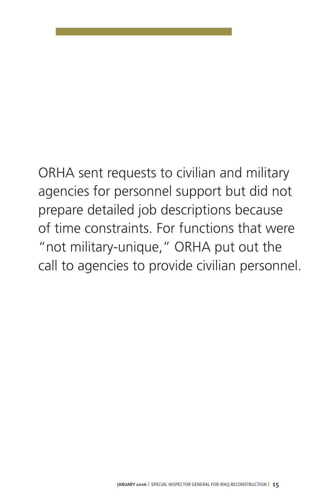ORHA sent requests to civilian and military agencies for personnel support but did not prepare detailed job descriptions because of time constraints. For functions that were "not military-unique," ORHA put out the call to agencies to provide civilian personnel.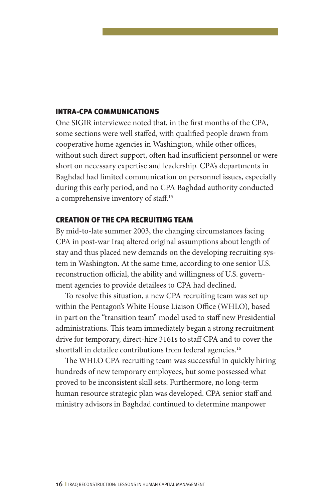#### INTRA-CPA COMMUNICATIONS

One SIGIR interviewee noted that, in the first months of the CPA, some sections were well staffed, with qualified people drawn from cooperative home agencies in Washington, while other offices, without such direct support, often had insufficient personnel or were short on necessary expertise and leadership. CPA's departments in Baghdad had limited communication on personnel issues, especially during this early period, and no CPA Baghdad authority conducted a comprehensive inventory of staff.15

#### CREATION OF THE CPA RECRUITING TEAM

By mid-to-late summer 2003, the changing circumstances facing CPA in post-war Iraq altered original assumptions about length of stay and thus placed new demands on the developing recruiting system in Washington. At the same time, according to one senior U.S. reconstruction official, the ability and willingness of U.S. government agencies to provide detailees to CPA had declined.

To resolve this situation, a new CPA recruiting team was set up within the Pentagon's White House Liaison Office (WHLO), based in part on the "transition team" model used to staff new Presidential administrations. This team immediately began a strong recruitment drive for temporary, direct-hire 3161s to staff CPA and to cover the shortfall in detailee contributions from federal agencies.<sup>16</sup>

The WHLO CPA recruiting team was successful in quickly hiring hundreds of new temporary employees, but some possessed what proved to be inconsistent skill sets. Furthermore, no long-term human resource strategic plan was developed. CPA senior staff and ministry advisors in Baghdad continued to determine manpower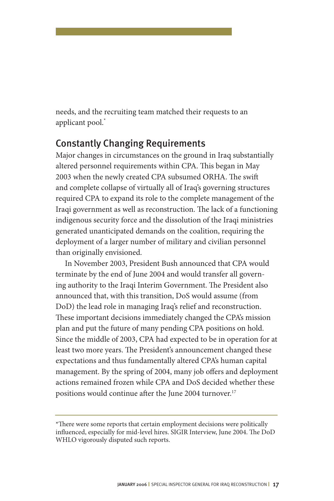needs, and the recruiting team matched their requests to an applicant pool.<sup>\*</sup>

### Constantly Changing Requirements

Major changes in circumstances on the ground in Iraq substantially altered personnel requirements within CPA. This began in May 2003 when the newly created CPA subsumed ORHA. The swift and complete collapse of virtually all of Iraq's governing structures required CPA to expand its role to the complete management of the Iraqi government as well as reconstruction. The lack of a functioning indigenous security force and the dissolution of the Iraqi ministries generated unanticipated demands on the coalition, requiring the deployment of a larger number of military and civilian personnel than originally envisioned.

In November 2003, President Bush announced that CPA would terminate by the end of June 2004 and would transfer all governing authority to the Iraqi Interim Government. The President also announced that, with this transition, DoS would assume (from DoD) the lead role in managing Iraq's relief and reconstruction. These important decisions immediately changed the CPA's mission plan and put the future of many pending CPA positions on hold. Since the middle of 2003, CPA had expected to be in operation for at least two more years. The President's announcement changed these expectations and thus fundamentally altered CPA's human capital management. By the spring of 2004, many job offers and deployment actions remained frozen while CPA and DoS decided whether these positions would continue after the June 2004 turnover.<sup>17</sup>

<sup>\*</sup>There were some reports that certain employment decisions were politically influenced, especially for mid-level hires. SIGIR Interview, June 2004. The DoD WHLO vigorously disputed such reports.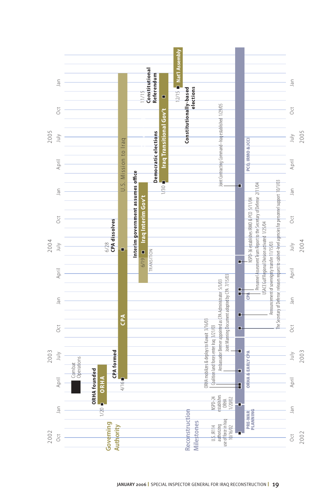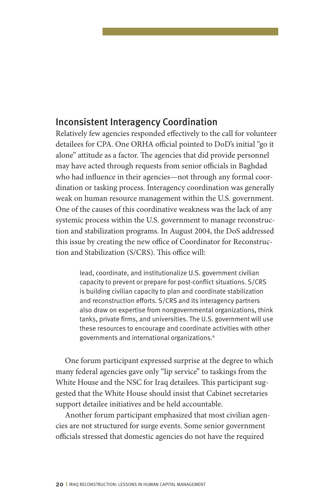### Inconsistent Interagency Coordination

Relatively few agencies responded effectively to the call for volunteer detailees for CPA. One ORHA official pointed to DoD's initial "go it alone" attitude as a factor. The agencies that did provide personnel may have acted through requests from senior officials in Baghdad who had influence in their agencies—not through any formal coordination or tasking process. Interagency coordination was generally weak on human resource management within the U.S. government. One of the causes of this coordinative weakness was the lack of any systemic process within the U.S. government to manage reconstruction and stabilization programs. In August 2004, the DoS addressed this issue by creating the new office of Coordinator for Reconstruction and Stabilization (S/CRS). This office will:

> lead, coordinate, and institutionalize U.S. government civilian capacity to prevent or prepare for post-conflict situations. S/CRS is building civilian capacity to plan and coordinate stabilization and reconstruction efforts. S/CRS and its interagency partners also draw on expertise from nongovernmental organizations, think tanks, private firms, and universities. The U.S. government will use these resources to encourage and coordinate activities with other governments and international organizations.6

One forum participant expressed surprise at the degree to which many federal agencies gave only "lip service" to taskings from the White House and the NSC for Iraq detailees. This participant suggested that the White House should insist that Cabinet secretaries support detailee initiatives and be held accountable.

Another forum participant emphasized that most civilian agencies are not structured for surge events. Some senior government officials stressed that domestic agencies do not have the required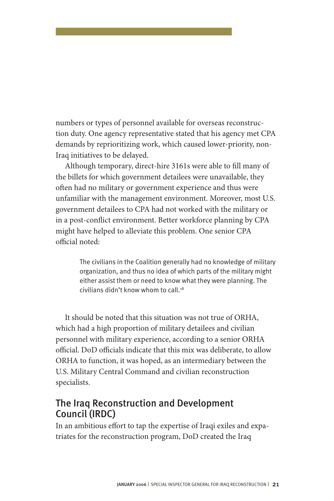numbers or types of personnel available for overseas reconstruction duty. One agency representative stated that his agency met CPA demands by reprioritizing work, which caused lower-priority, non-Iraq initiatives to be delayed.

Although temporary, direct-hire 3161s were able to fill many of the billets for which government detailees were unavailable, they often had no military or government experience and thus were unfamiliar with the management environment. Moreover, most U.S. government detailees to CPA had not worked with the military or in a post-conflict environment. Better workforce planning by CPA might have helped to alleviate this problem. One senior CPA official noted:

> The civilians in the Coalition generally had no knowledge of military organization, and thus no idea of which parts of the military might either assist them or need to know what they were planning. The civilians didn't know whom to call.18

It should be noted that this situation was not true of ORHA, which had a high proportion of military detailees and civilian personnel with military experience, according to a senior ORHA official. DoD officials indicate that this mix was deliberate, to allow ORHA to function, it was hoped, as an intermediary between the U.S. Military Central Command and civilian reconstruction specialists.

### The Iraq Reconstruction and Development Council (IRDC)

In an ambitious effort to tap the expertise of Iraqi exiles and expatriates for the reconstruction program, DoD created the Iraq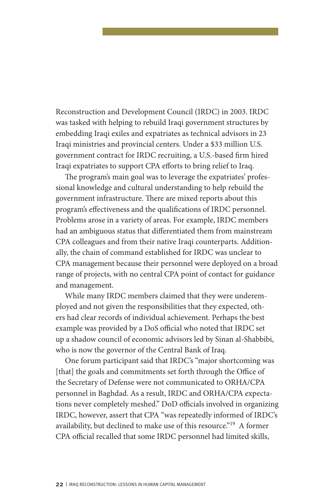Reconstruction and Development Council (IRDC) in 2003. IRDC was tasked with helping to rebuild Iraqi government structures by embedding Iraqi exiles and expatriates as technical advisors in 23 Iraqi ministries and provincial centers. Under a \$33 million U.S. government contract for IRDC recruiting, a U.S.-based firm hired Iraqi expatriates to support CPA efforts to bring relief to Iraq.

The program's main goal was to leverage the expatriates' professional knowledge and cultural understanding to help rebuild the government infrastructure. There are mixed reports about this program's effectiveness and the qualifications of IRDC personnel. Problems arose in a variety of areas. For example, IRDC members had an ambiguous status that differentiated them from mainstream CPA colleagues and from their native Iraqi counterparts. Additionally, the chain of command established for IRDC was unclear to CPA management because their personnel were deployed on a broad range of projects, with no central CPA point of contact for guidance and management.

While many IRDC members claimed that they were underemployed and not given the responsibilities that they expected, others had clear records of individual achievement. Perhaps the best example was provided by a DoS official who noted that IRDC set up a shadow council of economic advisors led by Sinan al-Shabbibi, who is now the governor of the Central Bank of Iraq.

One forum participant said that IRDC's "major shortcoming was [that] the goals and commitments set forth through the Office of the Secretary of Defense were not communicated to ORHA/CPA personnel in Baghdad. As a result, IRDC and ORHA/CPA expectations never completely meshed." DoD officials involved in organizing IRDC, however, assert that CPA "was repeatedly informed of IRDC's availability, but declined to make use of this resource."<sup>19</sup> A former CPA official recalled that some IRDC personnel had limited skills,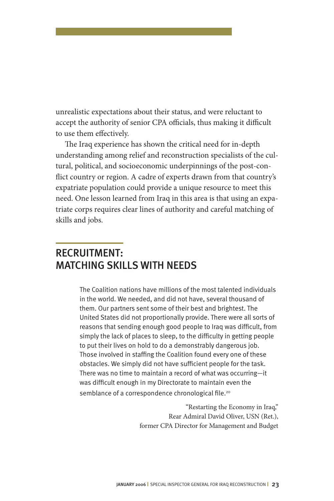unrealistic expectations about their status, and were reluctant to accept the authority of senior CPA officials, thus making it difficult to use them effectively.

The Iraq experience has shown the critical need for in-depth understanding among relief and reconstruction specialists of the cultural, political, and socioeconomic underpinnings of the post-conflict country or region. A cadre of experts drawn from that country's expatriate population could provide a unique resource to meet this need. One lesson learned from Iraq in this area is that using an expatriate corps requires clear lines of authority and careful matching of skills and jobs.

### RECRUITMENT: MATCHING SKILLS WITH NEEDS

The Coalition nations have millions of the most talented individuals in the world. We needed, and did not have, several thousand of them. Our partners sent some of their best and brightest. The United States did not proportionally provide. There were all sorts of reasons that sending enough good people to Iraq was difficult, from simply the lack of places to sleep, to the difficulty in getting people to put their lives on hold to do a demonstrably dangerous job. Those involved in staffing the Coalition found every one of these obstacles. We simply did not have sufficient people for the task. There was no time to maintain a record of what was occurring—it was difficult enough in my Directorate to maintain even the semblance of a correspondence chronological file.<sup>20</sup>

> "Restarting the Economy in Iraq," Rear Admiral David Oliver, USN (Ret.), former CPA Director for Management and Budget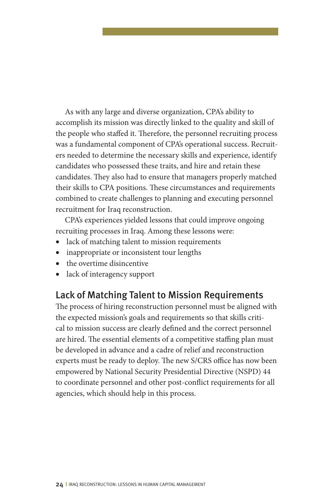As with any large and diverse organization, CPA's ability to accomplish its mission was directly linked to the quality and skill of the people who staffed it. Therefore, the personnel recruiting process was a fundamental component of CPA's operational success. Recruiters needed to determine the necessary skills and experience, identify candidates who possessed these traits, and hire and retain these candidates. They also had to ensure that managers properly matched their skills to CPA positions. These circumstances and requirements combined to create challenges to planning and executing personnel recruitment for Iraq reconstruction.

CPA's experiences yielded lessons that could improve ongoing recruiting processes in Iraq. Among these lessons were:

- lack of matching talent to mission requirements
- inappropriate or inconsistent tour lengths
- the overtime disincentive
- lack of interagency support

### Lack of Matching Talent to Mission Requirements

The process of hiring reconstruction personnel must be aligned with the expected mission's goals and requirements so that skills critical to mission success are clearly defined and the correct personnel are hired. The essential elements of a competitive staffing plan must be developed in advance and a cadre of relief and reconstruction experts must be ready to deploy. The new S/CRS office has now been empowered by National Security Presidential Directive (NSPD) 44 to coordinate personnel and other post-conflict requirements for all agencies, which should help in this process.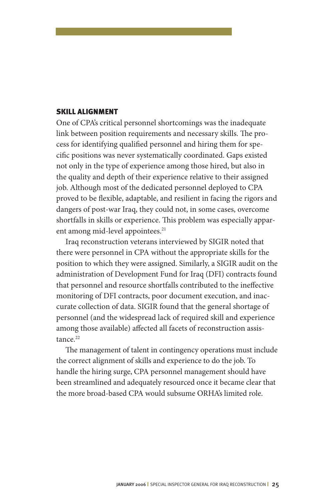#### SKILL ALIGNMENT

One of CPA's critical personnel shortcomings was the inadequate link between position requirements and necessary skills. The process for identifying qualified personnel and hiring them for specific positions was never systematically coordinated. Gaps existed not only in the type of experience among those hired, but also in the quality and depth of their experience relative to their assigned job. Although most of the dedicated personnel deployed to CPA proved to be flexible, adaptable, and resilient in facing the rigors and dangers of post-war Iraq, they could not, in some cases, overcome shortfalls in skills or experience. This problem was especially apparent among mid-level appointees.<sup>21</sup>

Iraq reconstruction veterans interviewed by SIGIR noted that there were personnel in CPA without the appropriate skills for the position to which they were assigned. Similarly, a SIGIR audit on the administration of Development Fund for Iraq (DFI) contracts found that personnel and resource shortfalls contributed to the ineffective monitoring of DFI contracts, poor document execution, and inaccurate collection of data. SIGIR found that the general shortage of personnel (and the widespread lack of required skill and experience among those available) affected all facets of reconstruction assistance $22$ 

The management of talent in contingency operations must include the correct alignment of skills and experience to do the job. To handle the hiring surge, CPA personnel management should have been streamlined and adequately resourced once it became clear that the more broad-based CPA would subsume ORHA's limited role.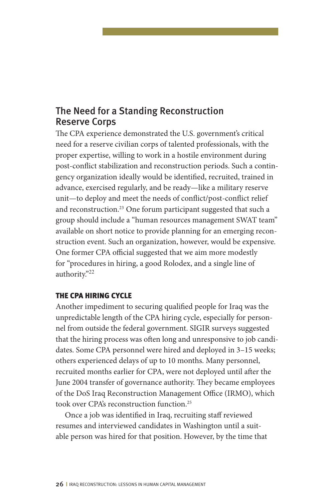### The Need for a Standing Reconstruction Reserve Corps

The CPA experience demonstrated the U.S. government's critical need for a reserve civilian corps of talented professionals, with the proper expertise, willing to work in a hostile environment during post-conflict stabilization and reconstruction periods. Such a contingency organization ideally would be identified, recruited, trained in advance, exercised regularly, and be ready—like a military reserve unit—to deploy and meet the needs of conflict/post-conflict relief and reconstruction.<sup>23</sup> One forum participant suggested that such a group should include a "human resources management SWAT team" available on short notice to provide planning for an emerging reconstruction event. Such an organization, however, would be expensive. One former CPA official suggested that we aim more modestly for "procedures in hiring, a good Rolodex, and a single line of authority."<sup>22</sup>

#### THE CPA HIRING CYCLE

Another impediment to securing qualified people for Iraq was the unpredictable length of the CPA hiring cycle, especially for personnel from outside the federal government. SIGIR surveys suggested that the hiring process was often long and unresponsive to job candidates. Some CPA personnel were hired and deployed in 3–15 weeks; others experienced delays of up to 10 months. Many personnel, recruited months earlier for CPA, were not deployed until after the June 2004 transfer of governance authority. They became employees of the DoS Iraq Reconstruction Management Office (IRMO), which took over CPA's reconstruction function.25

Once a job was identified in Iraq, recruiting staff reviewed resumes and interviewed candidates in Washington until a suitable person was hired for that position. However, by the time that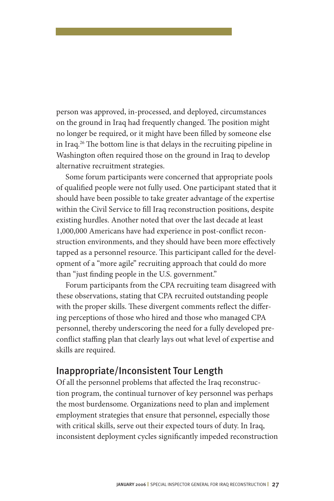person was approved, in-processed, and deployed, circumstances on the ground in Iraq had frequently changed. The position might no longer be required, or it might have been filled by someone else in Iraq.<sup>26</sup> The bottom line is that delays in the recruiting pipeline in Washington often required those on the ground in Iraq to develop alternative recruitment strategies.

Some forum participants were concerned that appropriate pools of qualified people were not fully used. One participant stated that it should have been possible to take greater advantage of the expertise within the Civil Service to fill Iraq reconstruction positions, despite existing hurdles. Another noted that over the last decade at least 1,000,000 Americans have had experience in post-conflict reconstruction environments, and they should have been more effectively tapped as a personnel resource. This participant called for the development of a "more agile" recruiting approach that could do more than "just finding people in the U.S. government."

Forum participants from the CPA recruiting team disagreed with these observations, stating that CPA recruited outstanding people with the proper skills. These divergent comments reflect the differing perceptions of those who hired and those who managed CPA personnel, thereby underscoring the need for a fully developed preconflict staffing plan that clearly lays out what level of expertise and skills are required.

### Inappropriate/Inconsistent Tour Length

Of all the personnel problems that affected the Iraq reconstruction program, the continual turnover of key personnel was perhaps the most burdensome. Organizations need to plan and implement employment strategies that ensure that personnel, especially those with critical skills, serve out their expected tours of duty. In Iraq, inconsistent deployment cycles significantly impeded reconstruction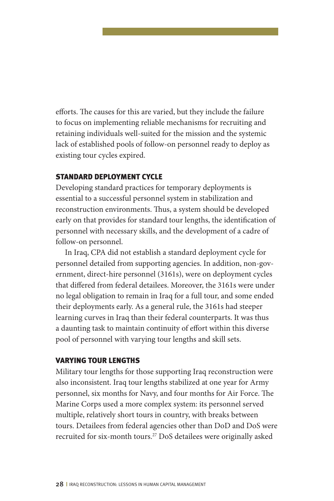efforts. The causes for this are varied, but they include the failure to focus on implementing reliable mechanisms for recruiting and retaining individuals well-suited for the mission and the systemic lack of established pools of follow-on personnel ready to deploy as existing tour cycles expired.

#### STANDARD DEPLOYMENT CYCLE

Developing standard practices for temporary deployments is essential to a successful personnel system in stabilization and reconstruction environments. Thus, a system should be developed early on that provides for standard tour lengths, the identification of personnel with necessary skills, and the development of a cadre of follow-on personnel.

In Iraq, CPA did not establish a standard deployment cycle for personnel detailed from supporting agencies. In addition, non-government, direct-hire personnel (3161s), were on deployment cycles that differed from federal detailees. Moreover, the 3161s were under no legal obligation to remain in Iraq for a full tour, and some ended their deployments early. As a general rule, the 3161s had steeper learning curves in Iraq than their federal counterparts. It was thus a daunting task to maintain continuity of effort within this diverse pool of personnel with varying tour lengths and skill sets.

#### VARYING TOUR LENGTHS

Military tour lengths for those supporting Iraq reconstruction were also inconsistent. Iraq tour lengths stabilized at one year for Army personnel, six months for Navy, and four months for Air Force. The Marine Corps used a more complex system: its personnel served multiple, relatively short tours in country, with breaks between tours. Detailees from federal agencies other than DoD and DoS were recruited for six-month tours.<sup>27</sup> DoS detailees were originally asked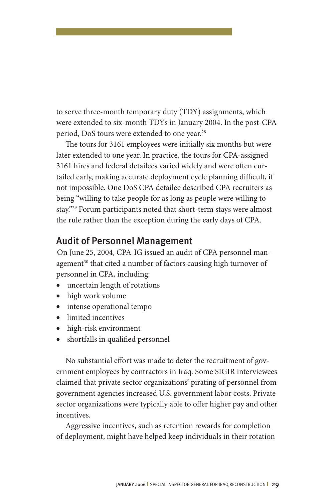to serve three-month temporary duty (TDY) assignments, which were extended to six-month TDYs in January 2004. In the post-CPA period, DoS tours were extended to one year.<sup>28</sup>

The tours for 3161 employees were initially six months but were later extended to one year. In practice, the tours for CPA-assigned 3161 hires and federal detailees varied widely and were often curtailed early, making accurate deployment cycle planning difficult, if not impossible. One DoS CPA detailee described CPA recruiters as being "willing to take people for as long as people were willing to stay."29 Forum participants noted that short-term stays were almost the rule rather than the exception during the early days of CPA.

### Audit of Personnel Management

On June 25, 2004, CPA-IG issued an audit of CPA personnel management<sup>30</sup> that cited a number of factors causing high turnover of personnel in CPA, including:

- uncertain length of rotations
- high work volume
- intense operational tempo
- limited incentives
- high-risk environment
- shortfalls in qualified personnel

No substantial effort was made to deter the recruitment of government employees by contractors in Iraq. Some SIGIR interviewees claimed that private sector organizations' pirating of personnel from government agencies increased U.S. government labor costs. Private sector organizations were typically able to offer higher pay and other incentives.

Aggressive incentives, such as retention rewards for completion of deployment, might have helped keep individuals in their rotation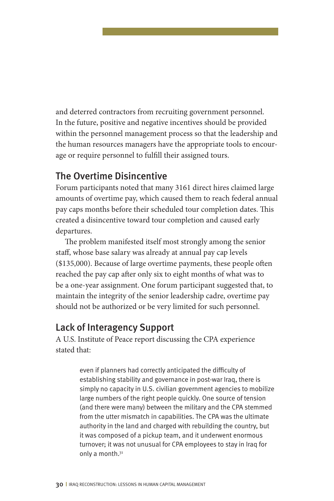and deterred contractors from recruiting government personnel. In the future, positive and negative incentives should be provided within the personnel management process so that the leadership and the human resources managers have the appropriate tools to encourage or require personnel to fulfill their assigned tours.

### The Overtime Disincentive

Forum participants noted that many 3161 direct hires claimed large amounts of overtime pay, which caused them to reach federal annual pay caps months before their scheduled tour completion dates. This created a disincentive toward tour completion and caused early departures.

The problem manifested itself most strongly among the senior staff, whose base salary was already at annual pay cap levels (\$135,000). Because of large overtime payments, these people often reached the pay cap after only six to eight months of what was to be a one-year assignment. One forum participant suggested that, to maintain the integrity of the senior leadership cadre, overtime pay should not be authorized or be very limited for such personnel.

### Lack of Interagency Support

A U.S. Institute of Peace report discussing the CPA experience stated that:

> even if planners had correctly anticipated the difficulty of establishing stability and governance in post-war Iraq, there is simply no capacity in U.S. civilian government agencies to mobilize large numbers of the right people quickly. One source of tension (and there were many) between the military and the CPA stemmed from the utter mismatch in capabilities. The CPA was the ultimate authority in the land and charged with rebuilding the country, but it was composed of a pickup team, and it underwent enormous turnover; it was not unusual for CPA employees to stay in Iraq for only a month.<sup>31</sup>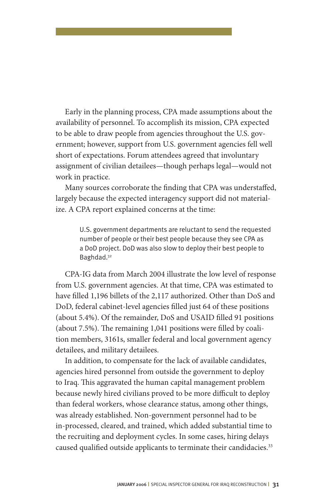Early in the planning process, CPA made assumptions about the availability of personnel. To accomplish its mission, CPA expected to be able to draw people from agencies throughout the U.S. government; however, support from U.S. government agencies fell well short of expectations. Forum attendees agreed that involuntary assignment of civilian detailees—though perhaps legal—would not work in practice.

Many sources corroborate the finding that CPA was understaffed, largely because the expected interagency support did not materialize. A CPA report explained concerns at the time:

> U.S. government departments are reluctant to send the requested number of people or their best people because they see CPA as a DoD project. DoD was also slow to deploy their best people to Baghdad.32

CPA-IG data from March 2004 illustrate the low level of response from U.S. government agencies. At that time, CPA was estimated to have filled 1,196 billets of the 2,117 authorized. Other than DoS and DoD, federal cabinet-level agencies filled just 64 of these positions (about 5.4%). Of the remainder, DoS and USAID filled 91 positions (about 7.5%). The remaining 1,041 positions were filled by coalition members, 3161s, smaller federal and local government agency detailees, and military detailees.

In addition, to compensate for the lack of available candidates, agencies hired personnel from outside the government to deploy to Iraq. This aggravated the human capital management problem because newly hired civilians proved to be more difficult to deploy than federal workers, whose clearance status, among other things, was already established. Non-government personnel had to be in-processed, cleared, and trained, which added substantial time to the recruiting and deployment cycles. In some cases, hiring delays caused qualified outside applicants to terminate their candidacies.<sup>33</sup>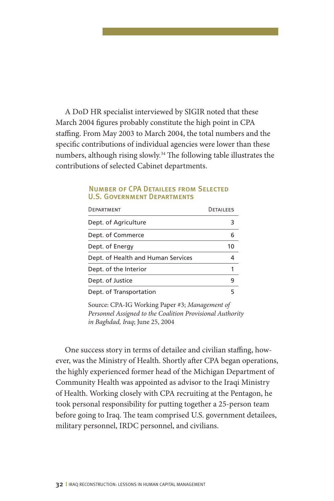A DoD HR specialist interviewed by SIGIR noted that these March 2004 figures probably constitute the high point in CPA staffing. From May 2003 to March 2004, the total numbers and the specific contributions of individual agencies were lower than these numbers, although rising slowly.<sup>34</sup> The following table illustrates the contributions of selected Cabinet departments.

| DEPARTMENT                         | DETAILEES |
|------------------------------------|-----------|
| Dept. of Agriculture               | 3         |
| Dept. of Commerce                  | 6         |
| Dept. of Energy                    | 10        |
| Dept. of Health and Human Services |           |
| Dept. of the Interior              |           |
| Dept. of Justice                   | q         |
| Dept. of Transportation            |           |

#### Number of CPA Detailees from Selected U.S. Government Departments

Source: CPA-IG Working Paper #3; *Management of Personnel Assigned to the Coalition Provisional Authority in Baghdad, Iraq*; June 25, 2004

One success story in terms of detailee and civilian staffing, however, was the Ministry of Health. Shortly after CPA began operations, the highly experienced former head of the Michigan Department of Community Health was appointed as advisor to the Iraqi Ministry of Health. Working closely with CPA recruiting at the Pentagon, he took personal responsibility for putting together a 25-person team before going to Iraq. The team comprised U.S. government detailees, military personnel, IRDC personnel, and civilians.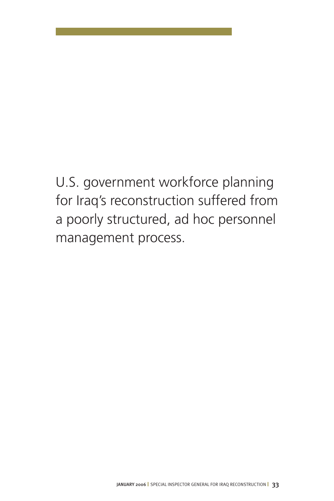U.S. government workforce planning for Iraq's reconstruction suffered from a poorly structured, ad hoc personnel management process.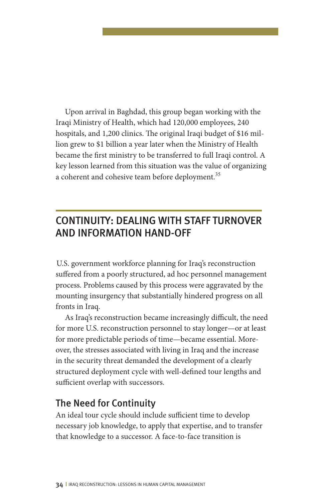Upon arrival in Baghdad, this group began working with the Iraqi Ministry of Health, which had 120,000 employees, 240 hospitals, and 1,200 clinics. The original Iraqi budget of \$16 million grew to \$1 billion a year later when the Ministry of Health became the first ministry to be transferred to full Iraqi control. A key lesson learned from this situation was the value of organizing a coherent and cohesive team before deployment.<sup>35</sup>

### CONTINUITY: DEALING WITH STAFF TURNOVER AND INFORMATION HAND-OFF

U.S. government workforce planning for Iraq's reconstruction suffered from a poorly structured, ad hoc personnel management process. Problems caused by this process were aggravated by the mounting insurgency that substantially hindered progress on all fronts in Iraq.

As Iraq's reconstruction became increasingly difficult, the need for more U.S. reconstruction personnel to stay longer—or at least for more predictable periods of time—became essential. Moreover, the stresses associated with living in Iraq and the increase in the security threat demanded the development of a clearly structured deployment cycle with well-defined tour lengths and sufficient overlap with successors.

### The Need for Continuity

An ideal tour cycle should include sufficient time to develop necessary job knowledge, to apply that expertise, and to transfer that knowledge to a successor. A face-to-face transition is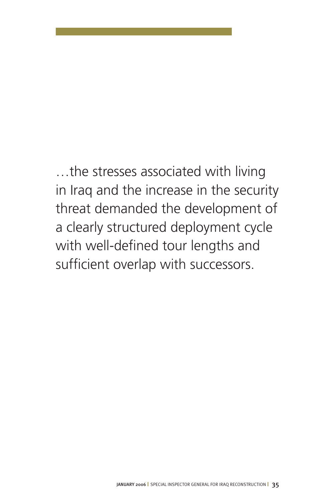…the stresses associated with living in Iraq and the increase in the security threat demanded the development of a clearly structured deployment cycle with well-defined tour lengths and sufficient overlap with successors.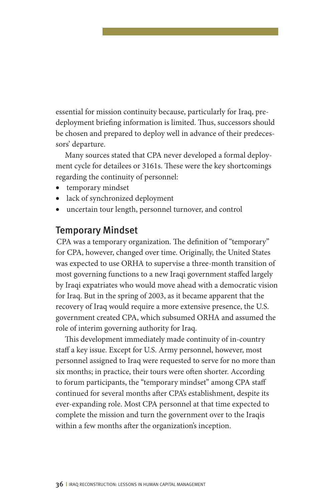essential for mission continuity because, particularly for Iraq, predeployment briefing information is limited. Thus, successors should be chosen and prepared to deploy well in advance of their predecessors' departure.

Many sources stated that CPA never developed a formal deployment cycle for detailees or 3161s. These were the key shortcomings regarding the continuity of personnel:

- temporary mindset
- lack of synchronized deployment
- uncertain tour length, personnel turnover, and control

### Temporary Mindset

CPA was a temporary organization. The definition of "temporary" for CPA, however, changed over time. Originally, the United States was expected to use ORHA to supervise a three-month transition of most governing functions to a new Iraqi government staffed largely by Iraqi expatriates who would move ahead with a democratic vision for Iraq. But in the spring of 2003, as it became apparent that the recovery of Iraq would require a more extensive presence, the U.S. government created CPA, which subsumed ORHA and assumed the role of interim governing authority for Iraq.

This development immediately made continuity of in-country staff a key issue. Except for U.S. Army personnel, however, most personnel assigned to Iraq were requested to serve for no more than six months; in practice, their tours were often shorter. According to forum participants, the "temporary mindset" among CPA staff continued for several months after CPA's establishment, despite its ever-expanding role. Most CPA personnel at that time expected to complete the mission and turn the government over to the Iraqis within a few months after the organization's inception.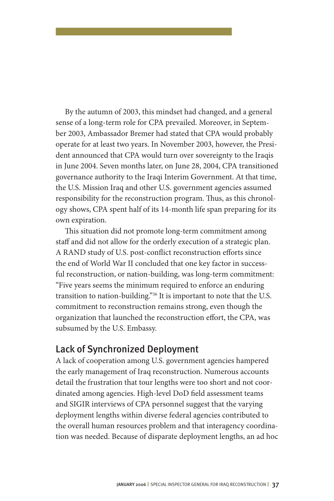By the autumn of 2003, this mindset had changed, and a general sense of a long-term role for CPA prevailed. Moreover, in September 2003, Ambassador Bremer had stated that CPA would probably operate for at least two years. In November 2003, however, the President announced that CPA would turn over sovereignty to the Iraqis in June 2004. Seven months later, on June 28, 2004, CPA transitioned governance authority to the Iraqi Interim Government. At that time, the U.S. Mission Iraq and other U.S. government agencies assumed responsibility for the reconstruction program. Thus, as this chronology shows, CPA spent half of its 14-month life span preparing for its own expiration.

This situation did not promote long-term commitment among staff and did not allow for the orderly execution of a strategic plan. A RAND study of U.S. post-conflict reconstruction efforts since the end of World War II concluded that one key factor in successful reconstruction, or nation-building, was long-term commitment: "Five years seems the minimum required to enforce an enduring transition to nation-building."36 It is important to note that the U.S. commitment to reconstruction remains strong, even though the organization that launched the reconstruction effort, the CPA, was subsumed by the U.S. Embassy.

### Lack of Synchronized Deployment

A lack of cooperation among U.S. government agencies hampered the early management of Iraq reconstruction. Numerous accounts detail the frustration that tour lengths were too short and not coordinated among agencies. High-level DoD field assessment teams and SIGIR interviews of CPA personnel suggest that the varying deployment lengths within diverse federal agencies contributed to the overall human resources problem and that interagency coordination was needed. Because of disparate deployment lengths, an ad hoc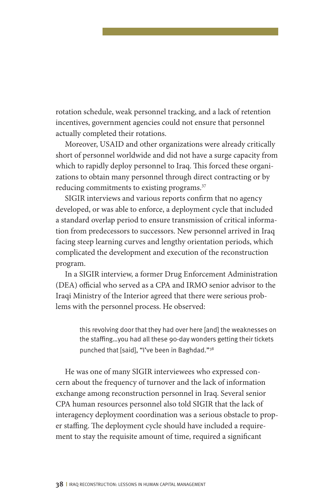rotation schedule, weak personnel tracking, and a lack of retention incentives, government agencies could not ensure that personnel actually completed their rotations.

Moreover, USAID and other organizations were already critically short of personnel worldwide and did not have a surge capacity from which to rapidly deploy personnel to Iraq. This forced these organizations to obtain many personnel through direct contracting or by reducing commitments to existing programs.<sup>37</sup>

SIGIR interviews and various reports confirm that no agency developed, or was able to enforce, a deployment cycle that included a standard overlap period to ensure transmission of critical information from predecessors to successors. New personnel arrived in Iraq facing steep learning curves and lengthy orientation periods, which complicated the development and execution of the reconstruction program.

In a SIGIR interview, a former Drug Enforcement Administration (DEA) official who served as a CPA and IRMO senior advisor to the Iraqi Ministry of the Interior agreed that there were serious problems with the personnel process. He observed:

> this revolving door that they had over here [and] the weaknesses on the staffing…you had all these 90-day wonders getting their tickets punched that [said], "I've been in Baghdad."38

He was one of many SIGIR interviewees who expressed concern about the frequency of turnover and the lack of information exchange among reconstruction personnel in Iraq. Several senior CPA human resources personnel also told SIGIR that the lack of interagency deployment coordination was a serious obstacle to proper staffing. The deployment cycle should have included a requirement to stay the requisite amount of time, required a significant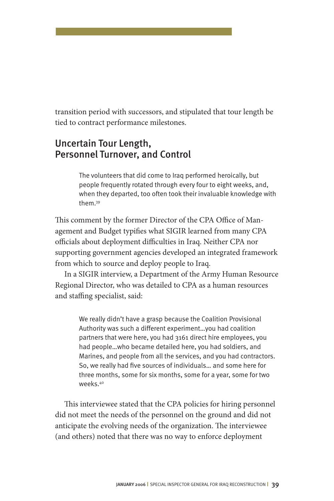transition period with successors, and stipulated that tour length be tied to contract performance milestones.

### Uncertain Tour Length, Personnel Turnover, and Control

The volunteers that did come to Iraq performed heroically, but people frequently rotated through every four to eight weeks, and, when they departed, too often took their invaluable knowledge with them.39

This comment by the former Director of the CPA Office of Management and Budget typifies what SIGIR learned from many CPA officials about deployment difficulties in Iraq. Neither CPA nor supporting government agencies developed an integrated framework from which to source and deploy people to Iraq.

In a SIGIR interview, a Department of the Army Human Resource Regional Director, who was detailed to CPA as a human resources and staffing specialist, said:

> We really didn't have a grasp because the Coalition Provisional Authority was such a different experiment…you had coalition partners that were here, you had 3161 direct hire employees, you had people…who became detailed here, you had soldiers, and Marines, and people from all the services, and you had contractors. So, we really had five sources of individuals… and some here for three months, some for six months, some for a year, some for two weeks.40

This interviewee stated that the CPA policies for hiring personnel did not meet the needs of the personnel on the ground and did not anticipate the evolving needs of the organization. The interviewee (and others) noted that there was no way to enforce deployment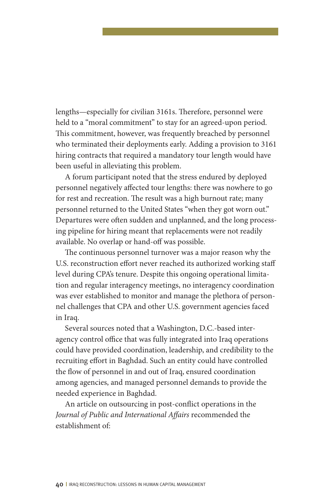lengths—especially for civilian 3161s. Therefore, personnel were held to a "moral commitment" to stay for an agreed-upon period. This commitment, however, was frequently breached by personnel who terminated their deployments early. Adding a provision to 3161 hiring contracts that required a mandatory tour length would have been useful in alleviating this problem.

A forum participant noted that the stress endured by deployed personnel negatively affected tour lengths: there was nowhere to go for rest and recreation. The result was a high burnout rate; many personnel returned to the United States "when they got worn out." Departures were often sudden and unplanned, and the long processing pipeline for hiring meant that replacements were not readily available. No overlap or hand-off was possible.

The continuous personnel turnover was a major reason why the U.S. reconstruction effort never reached its authorized working staff level during CPA's tenure. Despite this ongoing operational limitation and regular interagency meetings, no interagency coordination was ever established to monitor and manage the plethora of personnel challenges that CPA and other U.S. government agencies faced in Iraq.

Several sources noted that a Washington, D.C.-based interagency control office that was fully integrated into Iraq operations could have provided coordination, leadership, and credibility to the recruiting effort in Baghdad. Such an entity could have controlled the flow of personnel in and out of Iraq, ensured coordination among agencies, and managed personnel demands to provide the needed experience in Baghdad.

An article on outsourcing in post-conflict operations in the *Journal of Public and International Affairs* recommended the establishment of: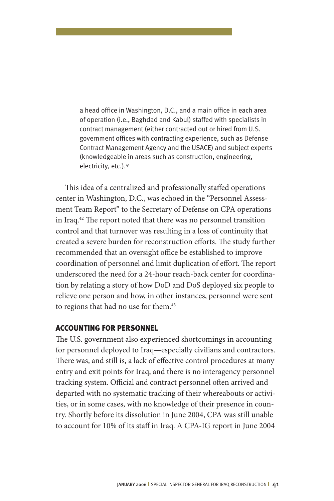a head office in Washington, D.C., and a main office in each area of operation (i.e., Baghdad and Kabul) staffed with specialists in contract management (either contracted out or hired from U.S. government offices with contracting experience, such as Defense Contract Management Agency and the USACE) and subject experts (knowledgeable in areas such as construction, engineering, electricity, etc.).<sup>41</sup>

This idea of a centralized and professionally staffed operations center in Washington, D.C., was echoed in the "Personnel Assessment Team Report" to the Secretary of Defense on CPA operations in Iraq.42 The report noted that there was no personnel transition control and that turnover was resulting in a loss of continuity that created a severe burden for reconstruction efforts. The study further recommended that an oversight office be established to improve coordination of personnel and limit duplication of effort. The report underscored the need for a 24-hour reach-back center for coordination by relating a story of how DoD and DoS deployed six people to relieve one person and how, in other instances, personnel were sent to regions that had no use for them.<sup>43</sup>

#### ACCOUNTING FOR PERSONNEL

The U.S. government also experienced shortcomings in accounting for personnel deployed to Iraq*—*especially civilians and contractors. There was, and still is, a lack of effective control procedures at many entry and exit points for Iraq, and there is no interagency personnel tracking system. Official and contract personnel often arrived and departed with no systematic tracking of their whereabouts or activities, or in some cases, with no knowledge of their presence in country. Shortly before its dissolution in June 2004, CPA was still unable to account for 10% of its staff in Iraq. A CPA-IG report in June 2004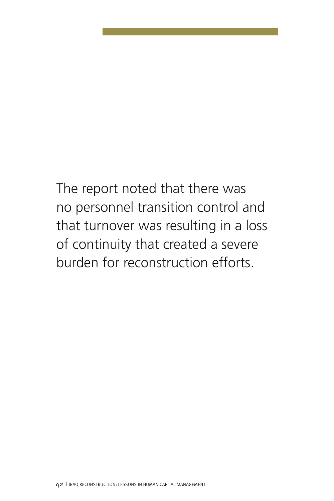The report noted that there was no personnel transition control and that turnover was resulting in a loss of continuity that created a severe burden for reconstruction efforts.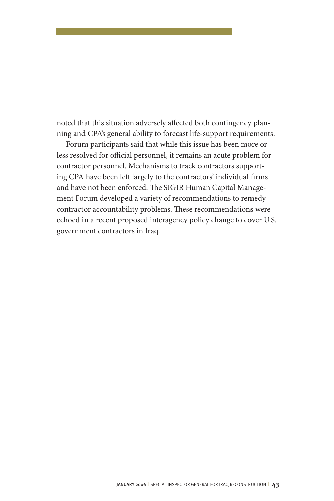noted that this situation adversely affected both contingency planning and CPA's general ability to forecast life-support requirements.

Forum participants said that while this issue has been more or less resolved for official personnel, it remains an acute problem for contractor personnel. Mechanisms to track contractors supporting CPA have been left largely to the contractors' individual firms and have not been enforced. The SIGIR Human Capital Management Forum developed a variety of recommendations to remedy contractor accountability problems. These recommendations were echoed in a recent proposed interagency policy change to cover U.S. government contractors in Iraq.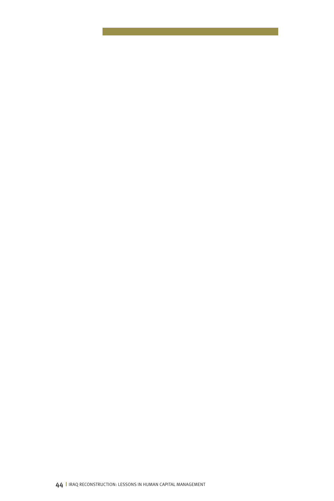44 | IRAQ RECONSTRUCTION: LESSONS IN HUMAN CAPITAL MANAGEMENT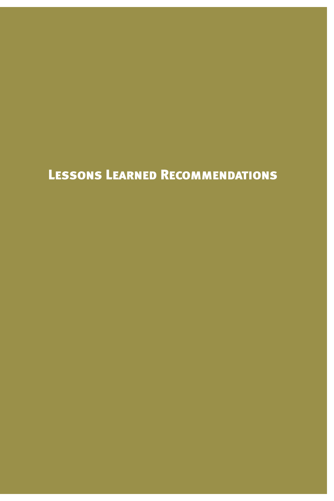## Lessons Learned Recommendations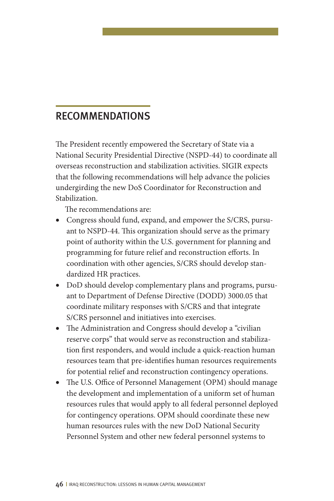### RECOMMENDATIONS

The President recently empowered the Secretary of State via a National Security Presidential Directive (NSPD-44) to coordinate all overseas reconstruction and stabilization activities. SIGIR expects that the following recommendations will help advance the policies undergirding the new DoS Coordinator for Reconstruction and Stabilization.

The recommendations are:

- Congress should fund, expand, and empower the S/CRS, pursuant to NSPD-44. This organization should serve as the primary point of authority within the U.S. government for planning and programming for future relief and reconstruction efforts. In coordination with other agencies, S/CRS should develop standardized HR practices.
- DoD should develop complementary plans and programs, pursuant to Department of Defense Directive (DODD) 3000.05 that coordinate military responses with S/CRS and that integrate S/CRS personnel and initiatives into exercises.
- The Administration and Congress should develop a "civilian reserve corps" that would serve as reconstruction and stabilization first responders, and would include a quick-reaction human resources team that pre-identifies human resources requirements for potential relief and reconstruction contingency operations.
- The U.S. Office of Personnel Management (OPM) should manage the development and implementation of a uniform set of human resources rules that would apply to all federal personnel deployed for contingency operations. OPM should coordinate these new human resources rules with the new DoD National Security Personnel System and other new federal personnel systems to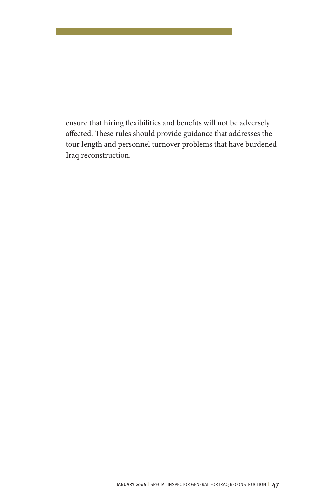ensure that hiring flexibilities and benefits will not be adversely affected. These rules should provide guidance that addresses the tour length and personnel turnover problems that have burdened Iraq reconstruction.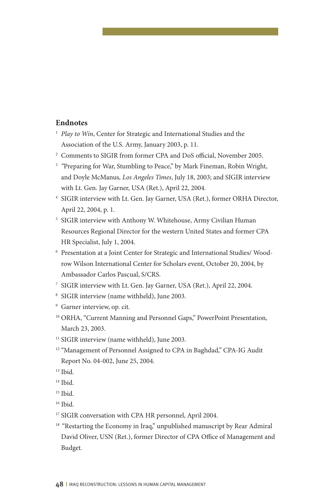#### **Endnotes**

- <sup>1</sup> Play to Win, Center for Strategic and International Studies and the Association of the U.S. Army, January 2003, p. 11.
- 2 Comments to SIGIR from former CPA and DoS official, November 2005.
- <sup>3</sup> "Preparing for War, Stumbling to Peace," by Mark Fineman, Robin Wright, and Doyle McManus*, Los Angeles Times*, July 18, 2003; and SIGIR interview with Lt. Gen. Jay Garner, USA (Ret.), April 22, 2004*.*
- <sup>4</sup> SIGIR interview with Lt. Gen. Jay Garner, USA (Ret.), former ORHA Director, April 22, 2004, p. 1.
- <sup>5</sup> SIGIR interview with Anthony W. Whitehouse, Army Civilian Human Resources Regional Director for the western United States and former CPA HR Specialist, July 1, 2004.
- <sup>6</sup> Presentation at a Joint Center for Strategic and International Studies/ Woodrow Wilson International Center for Scholars event, October 20, 2004, by Ambassador Carlos Pascual, S/CRS.
- 7 SIGIR interview with Lt. Gen. Jay Garner, USA (Ret.), April 22, 2004.
- 8 SIGIR interview (name withheld), June 2003.
- 9 Garner interview, op. cit.
- <sup>10</sup> ORHA, "Current Manning and Personnel Gaps," PowerPoint Presentation, March 23, 2003.
- <sup>11</sup> SIGIR interview (name withheld), June 2003.
- <sup>12</sup> "Management of Personnel Assigned to CPA in Baghdad," CPA-IG Audit Report No. 04-002, June 25, 2004.
- $13$  Ibid.
- $14$  Ibid.
- $15$  Ibid.
- $16$  Ibid.
- <sup>17</sup> SIGIR conversation with CPA HR personnel, April 2004.
- <sup>18</sup> "Restarting the Economy in Iraq," unpublished manuscript by Rear Admiral David Oliver, USN (Ret.), former Director of CPA Office of Management and Budget.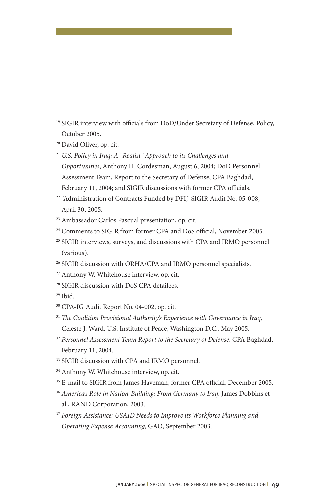- <sup>19</sup> SIGIR interview with officials from DoD/Under Secretary of Defense, Policy, October 2005.
- 20 David Oliver, op. cit.
- <sup>21</sup> *U.S. Policy in Iraq: A "Realist" Approach to its Challenges and Opportunities*, Anthony H. Cordesman, August 6, 2004; DoD Personnel Assessment Team, Report to the Secretary of Defense, CPA Baghdad, February 11, 2004; and SIGIR discussions with former CPA officials.
- <sup>22</sup> "Administration of Contracts Funded by DFI," SIGIR Audit No. 05-008, April 30, 2005.
- <sup>23</sup> Ambassador Carlos Pascual presentation, op. cit.
- <sup>24</sup> Comments to SIGIR from former CPA and DoS official, November 2005.
- <sup>25</sup> SIGIR interviews, surveys, and discussions with CPA and IRMO personnel (various).
- 26 SIGIR discussion with ORHA/CPA and IRMO personnel specialists.
- <sup>27</sup> Anthony W. Whitehouse interview, op. cit.
- <sup>28</sup> SIGIR discussion with DoS CPA detailees.

 $29$  Ibid.

- <sup>30</sup> CPA-IG Audit Report No. 04-002, op. cit.
- <sup>31</sup> The Coalition Provisional Authority's Experience with Governance in Iraq, Celeste J. Ward*,* U.S. Institute of Peace, Washington D.C., May 2005.
- <sup>32</sup> Personnel Assessment Team Report to the Secretary of Defense, CPA Baghdad, February 11, 2004.
- <sup>33</sup> SIGIR discussion with CPA and IRMO personnel.
- <sup>34</sup> Anthony W. Whitehouse interview, op. cit.
- <sup>35</sup> E-mail to SIGIR from James Haveman, former CPA official, December 2005.
- <sup>36</sup> America's Role in Nation-Building: From Germany to Iraq, James Dobbins et al., RAND Corporation, 2003.
- <sup>37</sup> *Foreign Assistance: USAID Needs to Improve its Workforce Planning and Operating Expense Accounting,* GAO*,* September 2003.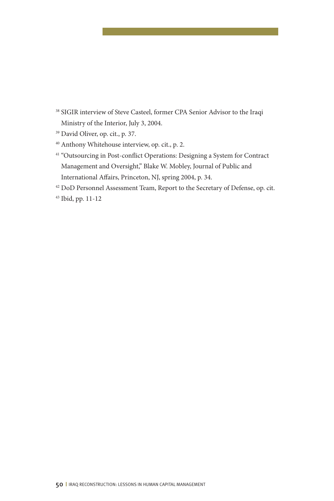- <sup>38</sup> SIGIR interview of Steve Casteel, former CPA Senior Advisor to the Iraqi Ministry of the Interior, July 3, 2004.
- <sup>39</sup> David Oliver, op. cit., p. 37.
- <sup>40</sup> Anthony Whitehouse interview, op. cit., p. 2.
- <sup>41</sup> "Outsourcing in Post-conflict Operations: Designing a System for Contract Management and Oversight," Blake W. Mobley, Journal of Public and International Affairs, Princeton, NJ, spring 2004, p. 34.
- <sup>42</sup> DoD Personnel Assessment Team, Report to the Secretary of Defense, op. cit.
- <sup>43</sup> Ibid, pp. 11-12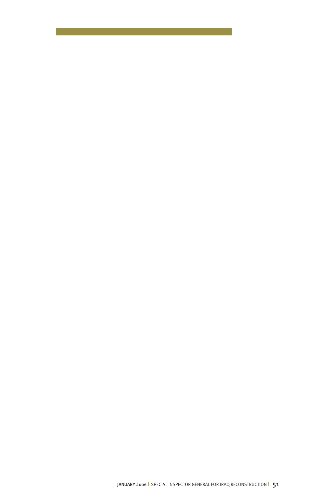JANUARY 2006 | SPECIAL INSPECTOR GENERAL FOR IRAQ RECONSTRUCTION | 51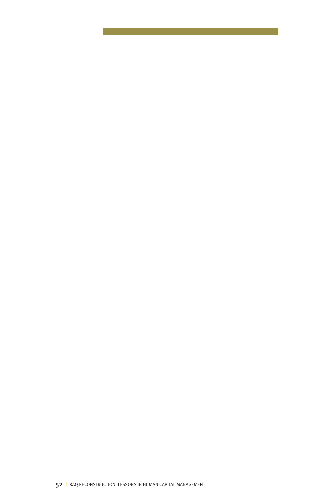52 I IRAQ RECONSTRUCTION: LESSONS IN HUMAN CAPITAL MANAGEMENT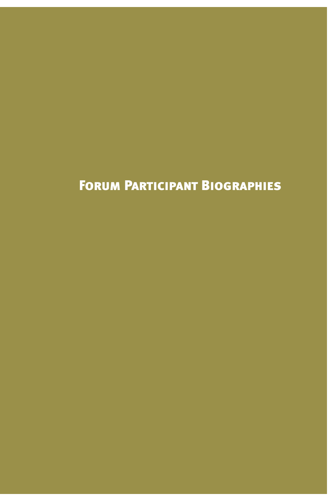## Forum Participant Biographies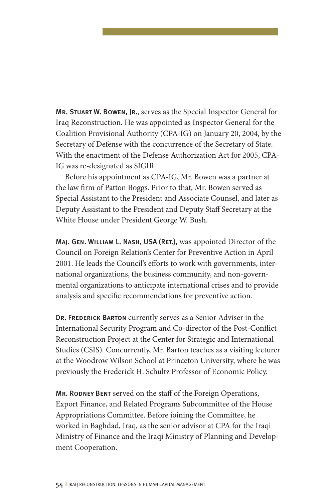MR. STUART W. BOWEN, JR., serves as the Special Inspector General for Iraq Reconstruction. He was appointed as Inspector General for the Coalition Provisional Authority (CPA-IG) on January 20, 2004, by the Secretary of Defense with the concurrence of the Secretary of State. With the enactment of the Defense Authorization Act for 2005, CPA-IG was re-designated as SIGIR.

Before his appointment as CPA-IG, Mr. Bowen was a partner at the law firm of Patton Boggs. Prior to that, Mr. Bowen served as Special Assistant to the President and Associate Counsel, and later as Deputy Assistant to the President and Deputy Staff Secretary at the White House under President George W. Bush.

Maj. Gen. William L. Nash, USA (Ret.), was appointed Director of the Council on Foreign Relation's Center for Preventive Action in April 2001. He leads the Council's efforts to work with governments, international organizations, the business community, and non-governmental organizations to anticipate international crises and to provide analysis and specific recommendations for preventive action.

DR. FREDERICK BARTON currently serves as a Senior Adviser in the International Security Program and Co-director of the Post-Conflict Reconstruction Project at the Center for Strategic and International Studies (CSIS). Concurrently, Mr. Barton teaches as a visiting lecturer at the Woodrow Wilson School at Princeton University, where he was previously the Frederick H. Schultz Professor of Economic Policy.

MR. RODNEY BENT served on the staff of the Foreign Operations, Export Finance, and Related Programs Subcommittee of the House Appropriations Committee. Before joining the Committee, he worked in Baghdad, Iraq, as the senior advisor at CPA for the Iraqi Ministry of Finance and the Iraqi Ministry of Planning and Development Cooperation.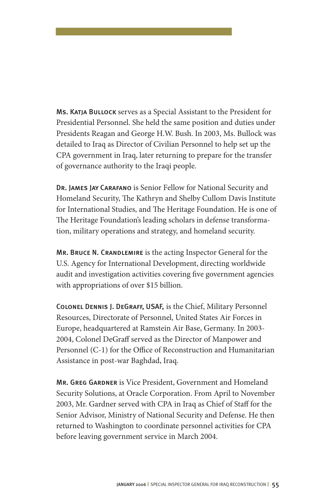Ms. Katja Bullock serves as a Special Assistant to the President for Presidential Personnel. She held the same position and duties under Presidents Reagan and George H.W. Bush. In 2003, Ms. Bullock was detailed to Iraq as Director of Civilian Personnel to help set up the CPA government in Iraq, later returning to prepare for the transfer of governance authority to the Iraqi people.

DR. JAMES JAY CARAFANO is Senior Fellow for National Security and Homeland Security, The Kathryn and Shelby Cullom Davis Institute for International Studies, and The Heritage Foundation. He is one of The Heritage Foundation's leading scholars in defense transformation, military operations and strategy, and homeland security.

Mr. Bruce N. Crandlemire is the acting Inspector General for the U.S. Agency for International Development, directing worldwide audit and investigation activities covering five government agencies with appropriations of over \$15 billion.

Colonel Dennis J. DeGraff, USAF, is the Chief, Military Personnel Resources, Directorate of Personnel, United States Air Forces in Europe, headquartered at Ramstein Air Base, Germany. In 2003- 2004, Colonel DeGraff served as the Director of Manpower and Personnel (C-1) for the Office of Reconstruction and Humanitarian Assistance in post-war Baghdad, Iraq.

Mr. Greg Gardner is Vice President, Government and Homeland Security Solutions, at Oracle Corporation. From April to November 2003, Mr. Gardner served with CPA in Iraq as Chief of Staff for the Senior Advisor, Ministry of National Security and Defense. He then returned to Washington to coordinate personnel activities for CPA before leaving government service in March 2004.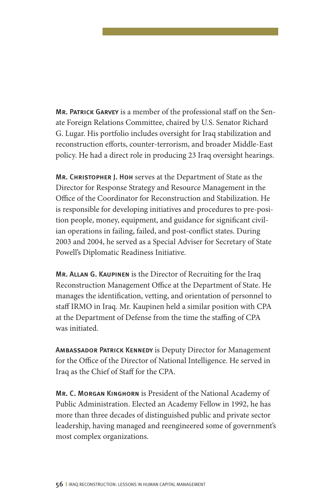Mr. Patrick Garvey is a member of the professional staff on the Senate Foreign Relations Committee, chaired by U.S. Senator Richard G. Lugar. His portfolio includes oversight for Iraq stabilization and reconstruction efforts, counter-terrorism, and broader Middle-East policy. He had a direct role in producing 23 Iraq oversight hearings.

MR. CHRISTOPHER J. HOH serves at the Department of State as the Director for Response Strategy and Resource Management in the Office of the Coordinator for Reconstruction and Stabilization. He is responsible for developing initiatives and procedures to pre-position people, money, equipment, and guidance for significant civilian operations in failing, failed, and post-conflict states. During 2003 and 2004, he served as a Special Adviser for Secretary of State Powell's Diplomatic Readiness Initiative.

Mr. Allan G. Kaupinen is the Director of Recruiting for the Iraq Reconstruction Management Office at the Department of State. He manages the identification, vetting, and orientation of personnel to staff IRMO in Iraq. Mr. Kaupinen held a similar position with CPA at the Department of Defense from the time the staffing of CPA was initiated.

Ambassador Patrick Kennedy is Deputy Director for Management for the Office of the Director of National Intelligence. He served in Iraq as the Chief of Staff for the CPA.

Mr. C. Morgan Kinghorn is President of the National Academy of Public Administration. Elected an Academy Fellow in 1992, he has more than three decades of distinguished public and private sector leadership, having managed and reengineered some of government's most complex organizations.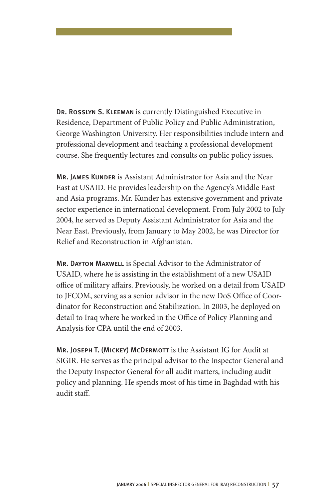Dr. Rosslyn S. Kleeman is currently Distinguished Executive in Residence, Department of Public Policy and Public Administration, George Washington University. Her responsibilities include intern and professional development and teaching a professional development course. She frequently lectures and consults on public policy issues.

Mr. James Kunder is Assistant Administrator for Asia and the Near East at USAID. He provides leadership on the Agency's Middle East and Asia programs. Mr. Kunder has extensive government and private sector experience in international development. From July 2002 to July 2004, he served as Deputy Assistant Administrator for Asia and the Near East. Previously, from January to May 2002, he was Director for Relief and Reconstruction in Afghanistan.

Mr. Dayton Maxwell is Special Advisor to the Administrator of USAID, where he is assisting in the establishment of a new USAID office of military affairs. Previously, he worked on a detail from USAID to JFCOM, serving as a senior advisor in the new DoS Office of Coordinator for Reconstruction and Stabilization. In 2003, he deployed on detail to Iraq where he worked in the Office of Policy Planning and Analysis for CPA until the end of 2003.

MR. JOSEPH T. (MICKEY) MCDERMOTT is the Assistant IG for Audit at SIGIR. He serves as the principal advisor to the Inspector General and the Deputy Inspector General for all audit matters, including audit policy and planning. He spends most of his time in Baghdad with his audit staff.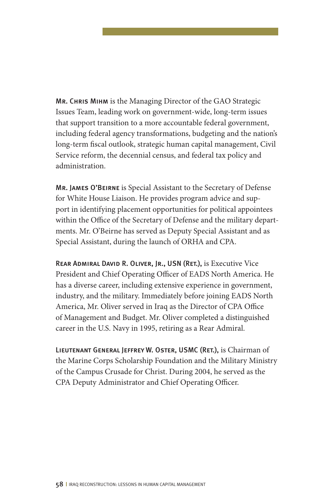MR. CHRIS MIHM is the Managing Director of the GAO Strategic Issues Team, leading work on government-wide, long-term issues that support transition to a more accountable federal government, including federal agency transformations, budgeting and the nation's long-term fiscal outlook, strategic human capital management, Civil Service reform, the decennial census, and federal tax policy and administration.

Mr. James O'Beirne is Special Assistant to the Secretary of Defense for White House Liaison. He provides program advice and support in identifying placement opportunities for political appointees within the Office of the Secretary of Defense and the military departments. Mr. O'Beirne has served as Deputy Special Assistant and as Special Assistant, during the launch of ORHA and CPA.

REAR ADMIRAL DAVID R. OLIVER, JR., USN (RET.), is Executive Vice President and Chief Operating Officer of EADS North America. He has a diverse career, including extensive experience in government, industry, and the military. Immediately before joining EADS North America, Mr. Oliver served in Iraq as the Director of CPA Office of Management and Budget. Mr. Oliver completed a distinguished career in the U.S. Navy in 1995, retiring as a Rear Admiral.

Lieutenant General Jeffrey W. Oster, USMC (Ret.), is Chairman of the Marine Corps Scholarship Foundation and the Military Ministry of the Campus Crusade for Christ. During 2004, he served as the CPA Deputy Administrator and Chief Operating Officer.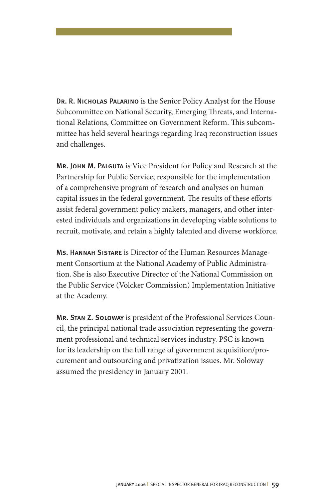Dr. R. Nicholas Palarino is the Senior Policy Analyst for the House Subcommittee on National Security, Emerging Threats, and International Relations, Committee on Government Reform. This subcommittee has held several hearings regarding Iraq reconstruction issues and challenges.

Mr. John M. Palguta is Vice President for Policy and Research at the Partnership for Public Service, responsible for the implementation of a comprehensive program of research and analyses on human capital issues in the federal government. The results of these efforts assist federal government policy makers, managers, and other interested individuals and organizations in developing viable solutions to recruit, motivate, and retain a highly talented and diverse workforce.

Ms. Hannah Sistare is Director of the Human Resources Management Consortium at the National Academy of Public Administration. She is also Executive Director of the National Commission on the Public Service (Volcker Commission) Implementation Initiative at the Academy.

Mr. Stan Z. Soloway is president of the Professional Services Council, the principal national trade association representing the government professional and technical services industry. PSC is known for its leadership on the full range of government acquisition/procurement and outsourcing and privatization issues. Mr. Soloway assumed the presidency in January 2001.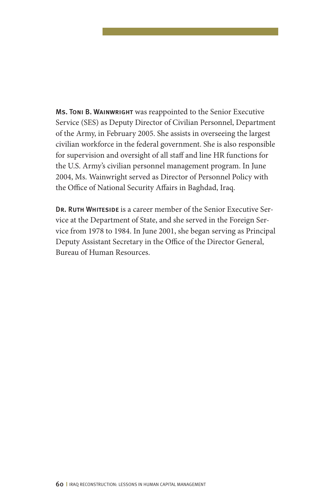Ms. Toni B. Wainwright was reappointed to the Senior Executive Service (SES) as Deputy Director of Civilian Personnel, Department of the Army, in February 2005. She assists in overseeing the largest civilian workforce in the federal government. She is also responsible for supervision and oversight of all staff and line HR functions for the U.S. Army's civilian personnel management program. In June 2004, Ms. Wainwright served as Director of Personnel Policy with the Office of National Security Affairs in Baghdad, Iraq.

DR. RUTH WHITESIDE is a career member of the Senior Executive Service at the Department of State, and she served in the Foreign Service from 1978 to 1984. In June 2001, she began serving as Principal Deputy Assistant Secretary in the Office of the Director General, Bureau of Human Resources.